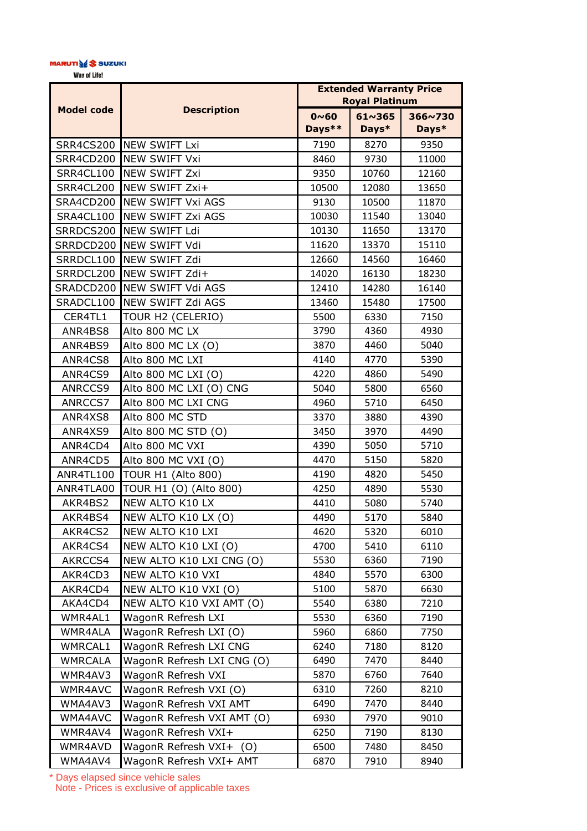## MARUTI**\@\$** SUZUKI

Way of Life!

|                   | <b>Description</b>         | <b>Extended Warranty Price</b><br><b>Royal Platinum</b> |                          |                  |
|-------------------|----------------------------|---------------------------------------------------------|--------------------------|------------------|
| <b>Model code</b> |                            | $0~0$ ~ 60<br>Days**                                    | $61 \times 365$<br>Days* | 366~730<br>Days* |
|                   | SRR4CS200 NEW SWIFT Lxi    | 7190                                                    | 8270                     | 9350             |
| <b>SRR4CD200</b>  | <b>NEW SWIFT Vxi</b>       | 8460                                                    | 9730                     | 11000            |
| SRR4CL100         | <b>NEW SWIFT Zxi</b>       | 9350                                                    | 10760                    | 12160            |
| SRR4CL200         | NEW SWIFT Zxi+             | 10500                                                   | 12080                    | 13650            |
| <b>SRA4CD200</b>  | <b>NEW SWIFT Vxi AGS</b>   | 9130                                                    | 10500                    | 11870            |
| SRA4CL100         | <b>NEW SWIFT Zxi AGS</b>   | 10030                                                   | 11540                    | 13040            |
| SRRDCS200         | <b>NEW SWIFT Ldi</b>       | 10130                                                   | 11650                    | 13170            |
|                   | SRRDCD200 NEW SWIFT Vdi    | 11620                                                   | 13370                    | 15110            |
| SRRDCL100         | NEW SWIFT Zdi              | 12660                                                   | 14560                    | 16460            |
| SRRDCL200         | NEW SWIFT Zdi+             | 14020                                                   | 16130                    | 18230            |
| SRADCD200         | <b>NEW SWIFT Vdi AGS</b>   | 12410                                                   | 14280                    | 16140            |
| SRADCL100         | NEW SWIFT Zdi AGS          | 13460                                                   | 15480                    | 17500            |
| CER4TL1           | TOUR H2 (CELERIO)          | 5500                                                    | 6330                     | 7150             |
| ANR4BS8           | Alto 800 MC LX             | 3790                                                    | 4360                     | 4930             |
| ANR4BS9           | Alto 800 MC LX (O)         | 3870                                                    | 4460                     | 5040             |
| ANR4CS8           | Alto 800 MC LXI            | 4140                                                    | 4770                     | 5390             |
| ANR4CS9           | Alto 800 MC LXI (O)        | 4220                                                    | 4860                     | 5490             |
| ANRCCS9           | Alto 800 MC LXI (O) CNG    | 5040                                                    | 5800                     | 6560             |
| ANRCCS7           | Alto 800 MC LXI CNG        | 4960                                                    | 5710                     | 6450             |
| ANR4XS8           | Alto 800 MC STD            | 3370                                                    | 3880                     | 4390             |
| ANR4XS9           | Alto 800 MC STD (O)        | 3450                                                    | 3970                     | 4490             |
| ANR4CD4           | Alto 800 MC VXI            | 4390                                                    | 5050                     | 5710             |
| ANR4CD5           | Alto 800 MC VXI (O)        | 4470                                                    | 5150                     | 5820             |
| ANR4TL100         | <b>TOUR H1 (Alto 800)</b>  | 4190                                                    | 4820                     | 5450             |
| ANR4TLA00         | TOUR H1 (O) (Alto 800)     | 4250                                                    | 4890                     | 5530             |
| AKR4BS2           | NEW ALTO K10 LX            | 4410                                                    | 5080                     | 5740             |
| AKR4BS4           | NEW ALTO K10 LX (O)        | 4490                                                    | 5170                     | 5840             |
| AKR4CS2           | NEW ALTO K10 LXI           | 4620                                                    | 5320                     | 6010             |
| AKR4CS4           | NEW ALTO K10 LXI (O)       | 4700                                                    | 5410                     | 6110             |
| AKRCCS4           | NEW ALTO K10 LXI CNG (O)   | 5530                                                    | 6360                     | 7190             |
| AKR4CD3           | NEW ALTO K10 VXI           | 4840                                                    | 5570                     | 6300             |
| AKR4CD4           | NEW ALTO K10 VXI (O)       | 5100                                                    | 5870                     | 6630             |
| AKA4CD4           | NEW ALTO K10 VXI AMT (O)   | 5540                                                    | 6380                     | 7210             |
| WMR4AL1           | WagonR Refresh LXI         | 5530                                                    | 6360                     | 7190             |
| WMR4ALA           | WagonR Refresh LXI (O)     | 5960                                                    | 6860                     | 7750             |
| <b>WMRCAL1</b>    | WagonR Refresh LXI CNG     | 6240                                                    | 7180                     | 8120             |
| <b>WMRCALA</b>    | WagonR Refresh LXI CNG (O) | 6490                                                    | 7470                     | 8440             |
| WMR4AV3           | WagonR Refresh VXI         | 5870                                                    | 6760                     | 7640             |
| WMR4AVC           | WagonR Refresh VXI (O)     | 6310                                                    | 7260                     | 8210             |
| WMA4AV3           | WagonR Refresh VXI AMT     | 6490                                                    | 7470                     | 8440             |
| WMA4AVC           | WagonR Refresh VXI AMT (O) | 6930                                                    | 7970                     | 9010             |
| WMR4AV4           | WagonR Refresh VXI+        | 6250                                                    | 7190                     | 8130             |
| WMR4AVD           | WagonR Refresh VXI+<br>(O) | 6500                                                    | 7480                     | 8450             |
| WMA4AV4           | WagonR Refresh VXI+ AMT    | 6870                                                    | 7910                     | 8940             |

\* Days elapsed since vehicle sales Note - Prices is exclusive of applicable taxes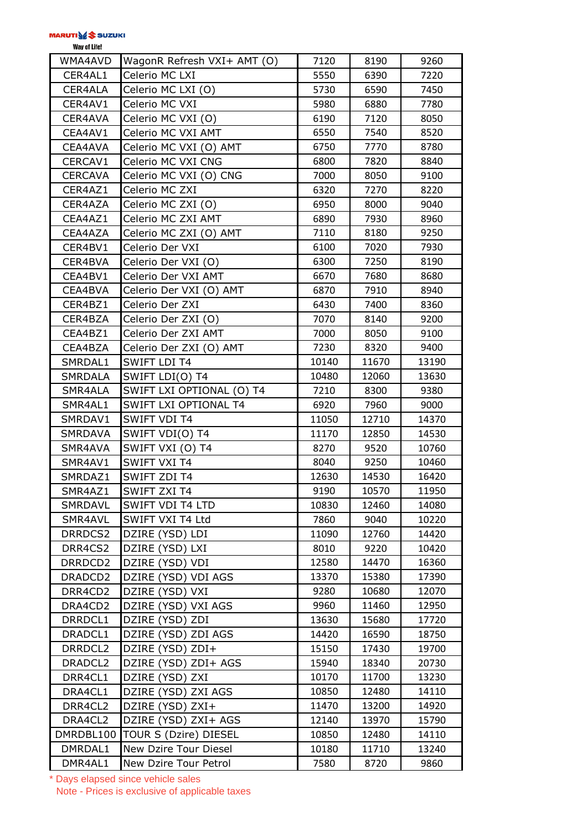| Way of Life! |  |
|--------------|--|
|--------------|--|

| WMA4AVD             | WagonR Refresh VXI+ AMT (O)     | 7120  | 8190  | 9260  |
|---------------------|---------------------------------|-------|-------|-------|
| CER4AL1             | Celerio MC LXI                  | 5550  | 6390  | 7220  |
| CER4ALA             | Celerio MC LXI (O)              | 5730  | 6590  | 7450  |
| CER4AV1             | Celerio MC VXI                  | 5980  | 6880  | 7780  |
| CER4AVA             | Celerio MC VXI (O)              | 6190  | 7120  | 8050  |
| CEA4AV1             | Celerio MC VXI AMT              | 6550  | 7540  | 8520  |
| CEA4AVA             | Celerio MC VXI (O) AMT          | 6750  | 7770  | 8780  |
| CERCAV1             | Celerio MC VXI CNG              | 6800  | 7820  | 8840  |
| <b>CERCAVA</b>      | Celerio MC VXI (O) CNG          | 7000  | 8050  | 9100  |
| CER4AZ1             | Celerio MC ZXI                  | 6320  | 7270  | 8220  |
| CER4AZA             | Celerio MC ZXI (O)              | 6950  | 8000  | 9040  |
| CEA4AZ1             | Celerio MC ZXI AMT              | 6890  | 7930  | 8960  |
| CEA4AZA             | Celerio MC ZXI (O) AMT          | 7110  | 8180  | 9250  |
| CER4BV1             | Celerio Der VXI                 | 6100  | 7020  | 7930  |
| CER4BVA             | Celerio Der VXI (O)             | 6300  | 7250  | 8190  |
| CEA4BV1             | Celerio Der VXI AMT             | 6670  | 7680  | 8680  |
| CEA4BVA             | Celerio Der VXI (O) AMT         | 6870  | 7910  | 8940  |
| CER4BZ1             | Celerio Der ZXI                 | 6430  | 7400  | 8360  |
| CER4BZA             | Celerio Der ZXI (O)             | 7070  | 8140  | 9200  |
| CEA4BZ1             | Celerio Der ZXI AMT             | 7000  | 8050  | 9100  |
| CEA4BZA             | Celerio Der ZXI (O) AMT         | 7230  | 8320  | 9400  |
| SMRDAL1             | <b>SWIFT LDI T4</b>             | 10140 | 11670 | 13190 |
| <b>SMRDALA</b>      | SWIFT LDI(O) T4                 | 10480 | 12060 | 13630 |
| SMR4ALA             | SWIFT LXI OPTIONAL (O) T4       | 7210  | 8300  | 9380  |
| SMR4AL1             | SWIFT LXI OPTIONAL T4           | 6920  | 7960  | 9000  |
| SMRDAV1             | <b>SWIFT VDI T4</b>             | 11050 | 12710 | 14370 |
| <b>SMRDAVA</b>      | SWIFT VDI(O) T4                 | 11170 | 12850 | 14530 |
| SMR4AVA             | SWIFT VXI (O) T4                | 8270  | 9520  | 10760 |
| SMR4AV1             | <b>SWIFT VXI T4</b>             | 8040  | 9250  | 10460 |
| SMRDAZ1             | SWIFT ZDI T4                    | 12630 | 14530 | 16420 |
| SMR4AZ1             | SWIFT ZXI T4                    | 9190  | 10570 | 11950 |
| SMRDAVL             | <b>SWIFT VDI T4 LTD</b>         | 10830 | 12460 | 14080 |
| SMR4AVL             | SWIFT VXI T4 Ltd                | 7860  | 9040  | 10220 |
| DRRDCS2             | DZIRE (YSD) LDI                 | 11090 | 12760 | 14420 |
| DRR4CS2             | DZIRE (YSD) LXI                 | 8010  | 9220  | 10420 |
| DRRDCD2             | DZIRE (YSD) VDI                 | 12580 | 14470 | 16360 |
| DRADCD2             | DZIRE (YSD) VDI AGS             | 13370 | 15380 | 17390 |
| DRR4CD2             | DZIRE (YSD) VXI                 | 9280  | 10680 | 12070 |
| DRA4CD2             | DZIRE (YSD) VXI AGS             | 9960  | 11460 | 12950 |
| DRRDCL1             | DZIRE (YSD) ZDI                 | 13630 | 15680 | 17720 |
| DRADCL1             | DZIRE (YSD) ZDI AGS             | 14420 | 16590 | 18750 |
| DRRDCL <sub>2</sub> | DZIRE (YSD) ZDI+                | 15150 | 17430 | 19700 |
| DRADCL2             | DZIRE (YSD) ZDI+ AGS            | 15940 | 18340 | 20730 |
| DRR4CL1             | DZIRE (YSD) ZXI                 | 10170 | 11700 | 13230 |
| DRA4CL1             | DZIRE (YSD) ZXI AGS             | 10850 | 12480 | 14110 |
| DRR4CL2             | DZIRE (YSD) ZXI+                | 11470 | 13200 | 14920 |
| DRA4CL2             | DZIRE (YSD) ZXI+ AGS            | 12140 | 13970 | 15790 |
|                     | DMRDBL100 TOUR S (Dzire) DIESEL | 10850 | 12480 | 14110 |
| DMRDAL1             | New Dzire Tour Diesel           | 10180 | 11710 | 13240 |
| DMR4AL1             | New Dzire Tour Petrol           | 7580  | 8720  | 9860  |

\* Days elapsed since vehicle sales Note - Prices is exclusive of applicable taxes